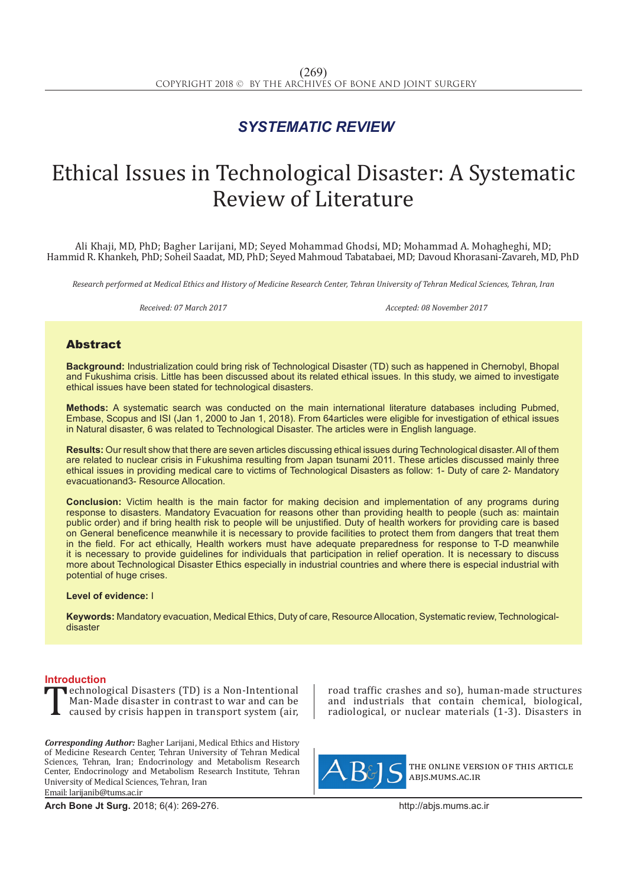### *SYSTEMATIC REVIEW*

## Ethical Issues in Technological Disaster: A Systematic Review of Literature

Ali Khaji, MD, PhD; Bagher Larijani, MD; Seyed Mohammad Ghodsi, MD; Mohammad A. Mohagheghi, MD; Hammid R. Khankeh, PhD; Soheil Saadat, MD, PhD; Seyed Mahmoud Tabatabaei, MD; Davoud Khorasani-Zavareh, MD, PhD

*Research performed at Medical Ethics and History of Medicine Research Center, Tehran University of Tehran Medical Sciences, Tehran, Iran*

*Received: 07 March 2017 Accepted: 08 November 2017*

### Abstract

**Background:** Industrialization could bring risk of Technological Disaster (TD) such as happened in Chernobyl, Bhopal and Fukushima crisis. Little has been discussed about its related ethical issues. In this study, we aimed to investigate ethical issues have been stated for technological disasters.

**Methods:** A systematic search was conducted on the main international literature databases including Pubmed, Embase, Scopus and ISI (Jan 1, 2000 to Jan 1, 2018). From 64articles were eligible for investigation of ethical issues in Natural disaster, 6 was related to Technological Disaster. The articles were in English language.

**Results:** Our result show that there are seven articles discussing ethical issues during Technological disaster. All of them are related to nuclear crisis in Fukushima resulting from Japan tsunami 2011. These articles discussed mainly three ethical issues in providing medical care to victims of Technological Disasters as follow: 1- Duty of care 2- Mandatory evacuationand3- Resource Allocation.

**Conclusion:** Victim health is the main factor for making decision and implementation of any programs during response to disasters. Mandatory Evacuation for reasons other than providing health to people (such as: maintain public order) and if bring health risk to people will be unjustified. Duty of health workers for providing care is based on General beneficence meanwhile it is necessary to provide facilities to protect them from dangers that treat them in the field. For act ethically, Health workers must have adequate preparedness for response to T-D meanwhile it is necessary to provide guidelines for individuals that participation in relief operation. It is necessary to discuss more about Technological Disaster Ethics especially in industrial countries and where there is especial industrial with potential of huge crises.

#### **Level of evidence:** I

**Keywords:** Mandatory evacuation, Medical Ethics, Duty of care, Resource Allocation, Systematic review, Technologicaldisaster

**Introduction**<br>**The echnological Disasters (TD) is a Non-Intentional The Example 2018** Chronological Disasters (TD) is a Non-Intentional Man-Made disaster in contrast to war and can be caused by crisis happen in transport system (air, Man-Made disaster in contrast to war and can be caused by crisis happen in transport system (air,

*Corresponding Author:* Bagher Larijani, Medical Ethics and History of Medicine Research Center, Tehran University of Tehran Medical Sciences, Tehran, Iran; Endocrinology and Metabolism Research Center, Endocrinology and Metabolism Research Institute, Tehran University of Medical Sciences, Tehran, Iran Email: larijanib@tums.ac.ir

**Arch Bone Jt Surg.** 2018; 6(4): 269-276.http://abjs.mums.ac.ir

road traffic crashes and so), human-made structures and industrials that contain chemical, biological, radiological, or nuclear materials (1-3). Disasters in



the online version of this article abjs.mums.ac.ir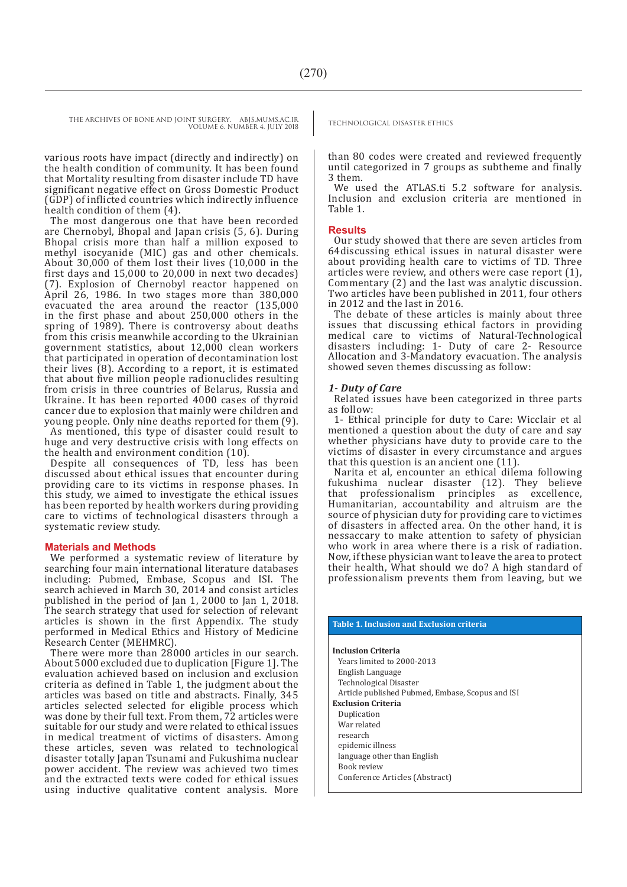THE ARCHIVES OF BONE AND JOINT SURGERY. ABJS.MUMS.AC.IR<br>TECHNOLOGICAL DISASTER ETHICS

VOLUME 6. NUMBER 4. JULY 2018

various roots have impact (directly and indirectly) on the health condition of community. It has been found that Mortality resulting from disaster include TD have significant negative effect on Gross Domestic Product (GDP) of inflicted countries which indirectly influence health condition of them (4).

The most dangerous one that have been recorded are Chernobyl, Bhopal and Japan crisis (5, 6). During Bhopal crisis more than half a million exposed to methyl isocyanide (MIC) gas and other chemicals. About 30,000 of them lost their lives (10,000 in the first days and 15,000 to 20,000 in next two decades) (7). Explosion of Chernobyl reactor happened on April 26, 1986. In two stages more than 380,000 evacuated the area around the reactor (135,000 in the first phase and about 250,000 others in the spring of 1989). There is controversy about deaths from this crisis meanwhile according to the Ukrainian government statistics, about 12,000 clean workers that participated in operation of decontamination lost their lives (8). According to a report, it is estimated that about five million people radionuclides resulting from crisis in three countries of Belarus, Russia and Ukraine. It has been reported 4000 cases of thyroid cancer due to explosion that mainly were children and young people. Only nine deaths reported for them (9).

As mentioned, this type of disaster could result to huge and very destructive crisis with long effects on the health and environment condition (10).

Despite all consequences of TD, less has been discussed about ethical issues that encounter during providing care to its victims in response phases. In this study, we aimed to investigate the ethical issues has been reported by health workers during providing care to victims of technological disasters through a systematic review study.

#### **Materials and Methods**

We performed a systematic review of literature by searching four main international literature databases including: Pubmed, Embase, Scopus and ISI. The search achieved in March 30, 2014 and consist articles published in the period of Jan 1, 2000 to Jan 1, 2018. The search strategy that used for selection of relevant articles is shown in the first Appendix. The study performed in Medical Ethics and History of Medicine Research Center (MEHMRC).

There were more than 28000 articles in our search. About 5000 excluded due to duplication [Figure 1]. The evaluation achieved based on inclusion and exclusion criteria as defined in Table 1, the judgment about the articles was based on title and abstracts. Finally, 345 articles selected selected for eligible process which was done by their full text. From them, 72 articles were suitable for our study and were related to ethical issues in medical treatment of victims of disasters. Among these articles, seven was related to technological disaster totally Japan Tsunami and Fukushima nuclear power accident. The review was achieved two times and the extracted texts were coded for ethical issues using inductive qualitative content analysis. More than 80 codes were created and reviewed frequently until categorized in 7 groups as subtheme and finally 3 them.

We used the ATLAS.ti 5.2 software for analysis. Inclusion and exclusion criteria are mentioned in Table 1.

#### **Results**

Our study showed that there are seven articles from 64discussing ethical issues in natural disaster were about providing health care to victims of TD. Three articles were review, and others were case report (1), Commentary (2) and the last was analytic discussion. Two articles have been published in 2011, four others in 2012 and the last in 2016.

The debate of these articles is mainly about three issues that discussing ethical factors in providing medical care to victims of Natural-Technological disasters including: 1- Duty of care 2- Resource Allocation and 3-Mandatory evacuation. The analysis showed seven themes discussing as follow:

#### *1- Duty of Care*

Related issues have been categorized in three parts as follow:

1- Ethical principle for duty to Care: Wicclair et al mentioned a question about the duty of care and say whether physicians have duty to provide care to the victims of disaster in every circumstance and argues that this question is an ancient one (11).

Narita et al, encounter an ethical dilema following fukushima nuclear disaster (12). They believe<br>that professionalism principles as excellence. principles as excellence, Humanitarian, accountability and altruism are the source of physician duty for providing care to victimes of disasters in affected area. On the other hand, it is nessaccary to make attention to safety of physician who work in area where there is a risk of radiation. Now, if these physician want to leave the area to protect their health, What should we do? A high standard of professionalism prevents them from leaving, but we

#### **Table 1. Inclusion and Exclusion criteria**

**Inclusion Criteria**

Years limited to 2000-2013 English Language Technological Disaster Article published Pubmed, Embase, Scopus and ISI **Exclusion Criteria** Duplication War related research epidemic illness language other than English Book review Conference Articles (Abstract)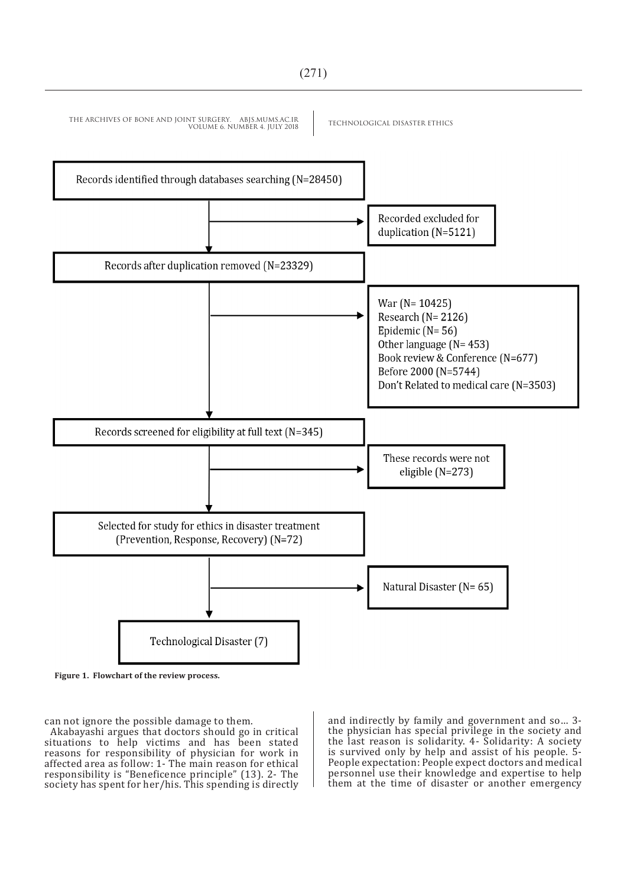# VOLUME 6. NUMBER 4. JULY 2018 Records identified through databases searching (N=28450) Recorded excluded for duplication (N=5121) Records after duplication removed (N=23329) War ( $N = 10425$ ) Research ( $N = 2126$ ) Epidemic  $(N=56)$ Other language  $(N = 453)$ Book review & Conference (N=677) Before 2000 (N=5744) Don't Related to medical care (N=3503) Records screened for eligibility at full text (N=345) These records were not eligible  $(N=273)$ Selected for study for ethics in disaster treatment (Prevention, Response, Recovery) (N=72) Natural Disaster (N= 65) Technological Disaster (7)



can not ignore the possible damage to them.

Akabayashi argues that doctors should go in critical situations to help victims and has been stated reasons for responsibility of physician for work in affected area as follow: 1- The main reason for ethical responsibility is "Beneficence principle" (13). 2- The society has spent for her/his. This spending is directly and indirectly by family and government and so… 3 the physician has special privilege in the society and the last reason is solidarity. 4- Solidarity: A society is survived only by help and assist of his people. 5- People expectation: People expect doctors and medical personnel use their knowledge and expertise to help them at the time of disaster or another emergency

THE ARCHIVES OF BONE AND JOINT SURGERY. ABJS.MUMS.AC.IR<br>TECHNOLOGICAL DISASTER ETHICS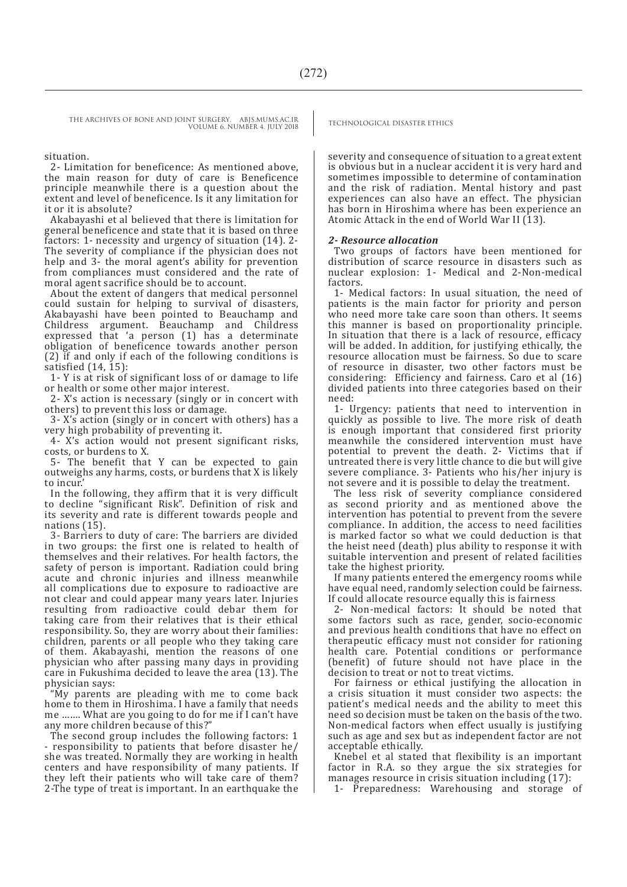THE ARCHIVES OF BONE AND JOINT SURGERY. ABJS.MUMS.AC.IR<br>TECHNOLOGICAL DISASTER ETHICS VOLUME 6. NUMBER 4. JULY 2018

#### situation.

2- Limitation for beneficence: As mentioned above, the main reason for duty of care is Beneficence principle meanwhile there is a question about the extent and level of beneficence. Is it any limitation for it or it is absolute?

Akabayashi et al believed that there is limitation for general beneficence and state that it is based on three factors: 1- necessity and urgency of situation (14). 2- The severity of compliance if the physician does not help and 3- the moral agent's ability for prevention from compliances must considered and the rate of moral agent sacrifice should be to account.

About the extent of dangers that medical personnel could sustain for helping to survival of disasters, Akabayashi have been pointed to Beauchamp and Childress argument. Beauchamp and Childress expressed that 'a person (1) has a determinate obligation of beneficence towards another person (2) if and only if each of the following conditions is satisfied  $(14, 15)$ :

1- Y is at risk of significant loss of or damage to life or health or some other major interest.

2- X's action is necessary (singly or in concert with others) to prevent this loss or damage.

3- X's action (singly or in concert with others) has a very high probability of preventing it.

4- X's action would not present significant risks, costs, or burdens to X.

5- The benefit that Y can be expected to gain outweighs any harms, costs, or burdens that X is likely to incur.'

In the following, they affirm that it is very difficult to decline "significant Risk". Definition of risk and its severity and rate is different towards people and nations (15).

3- Barriers to duty of care: The barriers are divided in two groups: the first one is related to health of themselves and their relatives. For health factors, the safety of person is important. Radiation could bring acute and chronic injuries and illness meanwhile all complications due to exposure to radioactive are not clear and could appear many years later. Injuries resulting from radioactive could debar them for taking care from their relatives that is their ethical responsibility. So, they are worry about their families: children, parents or all people who they taking care of them. Akabayashi, mention the reasons of one physician who after passing many days in providing care in Fukushima decided to leave the area (13). The physician says:

"My parents are pleading with me to come back home to them in Hiroshima. I have a family that needs me ……. What are you going to do for me if I can't have any more children because of this?"

The second group includes the following factors: 1 - responsibility to patients that before disaster he/ she was treated. Normally they are working in health centers and have responsibility of many patients. If they left their patients who will take care of them? 2-The type of treat is important. In an earthquake the

severity and consequence of situation to a great extent is obvious but in a nuclear accident it is very hard and sometimes impossible to determine of contamination and the risk of radiation. Mental history and past experiences can also have an effect. The physician has born in Hiroshima where has been experience an Atomic Attack in the end of World War II (13).

#### *2- Resource allocation*

Two groups of factors have been mentioned for distribution of scarce resource in disasters such as nuclear explosion: 1- Medical and 2-Non-medical factors.

1- Medical factors: In usual situation, the need of patients is the main factor for priority and person who need more take care soon than others. It seems this manner is based on proportionality principle. In situation that there is a lack of resource, efficacy will be added. In addition, for justifying ethically, the resource allocation must be fairness. So due to scare of resource in disaster, two other factors must be considering: Efficiency and fairness. Caro et al (16) divided patients into three categories based on their need:

1- Urgency: patients that need to intervention in quickly as possible to live. The more risk of death is enough important that considered first priority meanwhile the considered intervention must have potential to prevent the death. 2- Victims that if untreated there is very little chance to die but will give severe compliance. 3- Patients who his/her injury is not severe and it is possible to delay the treatment.

The less risk of severity compliance considered as second priority and as mentioned above the intervention has potential to prevent from the severe compliance. In addition, the access to need facilities is marked factor so what we could deduction is that the heist need (death) plus ability to response it with suitable intervention and present of related facilities take the highest priority.

If many patients entered the emergency rooms while have equal need, randomly selection could be fairness. If could allocate resource equally this is fairness

2- Non-medical factors: It should be noted that some factors such as race, gender, socio-economic and previous health conditions that have no effect on therapeutic efficacy must not consider for rationing health care. Potential conditions or performance (benefit) of future should not have place in the decision to treat or not to treat victims.

For fairness or ethical justifying the allocation in a crisis situation it must consider two aspects: the patient's medical needs and the ability to meet this need so decision must be taken on the basis of the two. Non-medical factors when effect usually is justifying such as age and sex but as independent factor are not acceptable ethically.

Knebel et al stated that flexibility is an important factor in R.A. so they argue the six strategies for manages resource in crisis situation including (17):

1- Preparedness: Warehousing and storage of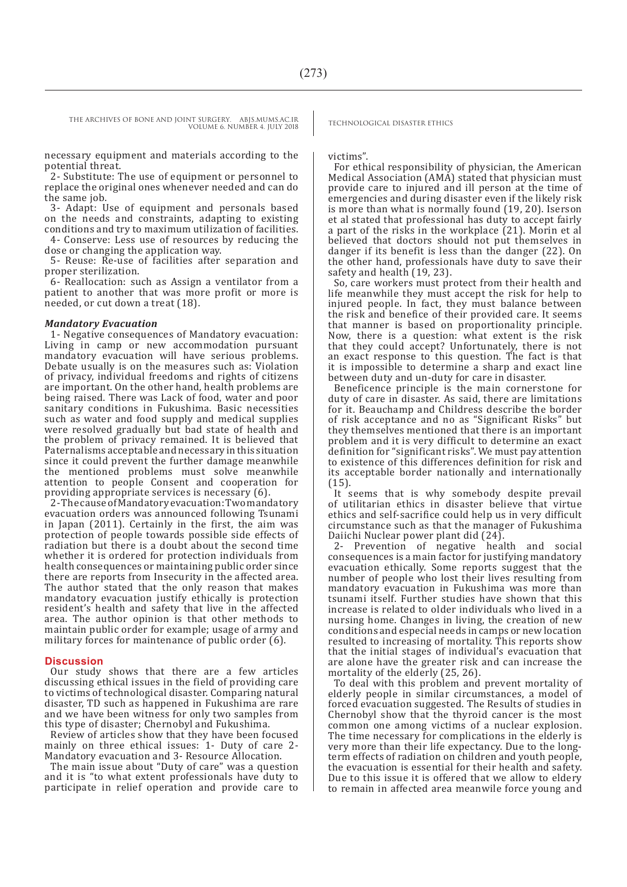VOLUME 6. NUMBER 4. JULY 2018

necessary equipment and materials according to the potential threat.

2- Substitute: The use of equipment or personnel to replace the original ones whenever needed and can do the same job.

3- Adapt: Use of equipment and personals based on the needs and constraints, adapting to existing conditions and try to maximum utilization of facilities. 4- Conserve: Less use of resources by reducing the dose or changing the application way.

5- Reuse: Re-use of facilities after separation and proper sterilization.

6- Reallocation: such as Assign a ventilator from a patient to another that was more profit or more is needed, or cut down a treat (18).

#### *Mandatory Evacuation*

1- Negative consequences of Mandatory evacuation: Living in camp or new accommodation pursuant mandatory evacuation will have serious problems. Debate usually is on the measures such as: Violation of privacy, individual freedoms and rights of citizens are important. On the other hand, health problems are being raised. There was Lack of food, water and poor sanitary conditions in Fukushima. Basic necessities such as water and food supply and medical supplies were resolved gradually but bad state of health and the problem of privacy remained. It is believed that Paternalisms acceptable and necessary in this situation since it could prevent the further damage meanwhile the mentioned problems must solve meanwhile attention to people Consent and cooperation for providing appropriate services is necessary (6).

2- The cause of Mandatory evacuation: Two mandatory evacuation orders was announced following Tsunami in Japan (2011). Certainly in the first, the aim was protection of people towards possible side effects of radiation but there is a doubt about the second time whether it is ordered for protection individuals from health consequences or maintaining public order since there are reports from Insecurity in the affected area. The author stated that the only reason that makes mandatory evacuation justify ethically is protection resident's health and safety that live in the affected area. The author opinion is that other methods to maintain public order for example; usage of army and military forces for maintenance of public order (6).

#### **Discussion**

Our study shows that there are a few articles discussing ethical issues in the field of providing care to victims of technological disaster. Comparing natural disaster, TD such as happened in Fukushima are rare and we have been witness for only two samples from this type of disaster; Chernobyl and Fukushima.

Review of articles show that they have been focused mainly on three ethical issues: 1- Duty of care 2- Mandatory evacuation and 3- Resource Allocation.

The main issue about "Duty of care" was a question and it is "to what extent professionals have duty to participate in relief operation and provide care to

THE ARCHIVES OF BONE AND JOINT SURGERY. ABJS.MUMS.AC.IR<br>TECHNOLOGICAL DISASTER ETHICS

#### victims".

For ethical responsibility of physician, the American Medical Association (AMA) stated that physician must provide care to injured and ill person at the time of emergencies and during disaster even if the likely risk is more than what is normally found (19, 20). Iserson et al stated that professional has duty to accept fairly a part of the risks in the workplace (21). Morin et al believed that doctors should not put themselves in danger if its benefit is less than the danger (22). On the other hand, professionals have duty to save their safety and health (19, 23).

So, care workers must protect from their health and life meanwhile they must accept the risk for help to injured people. In fact, they must balance between the risk and benefice of their provided care. It seems that manner is based on proportionality principle. Now, there is a question: what extent is the risk that they could accept? Unfortunately, there is not an exact response to this question. The fact is that it is impossible to determine a sharp and exact line between duty and un-duty for care in disaster.

Beneficence principle is the main cornerstone for duty of care in disaster. As said, there are limitations for it. Beauchamp and Childress describe the border of risk acceptance and no as "Significant Risks" but they themselves mentioned that there is an important problem and it is very difficult to determine an exact definition for "significant risks". We must pay attention to existence of this differences definition for risk and its acceptable border nationally and internationally (15).

It seems that is why somebody despite prevail of utilitarian ethics in disaster believe that virtue ethics and self-sacrifice could help us in very difficult circumstance such as that the manager of Fukushima Daiichi Nuclear power plant did (24).

2- Prevention of negative health and social consequences is a main factor for justifying mandatory evacuation ethically. Some reports suggest that the number of people who lost their lives resulting from mandatory evacuation in Fukushima was more than tsunami itself. Further studies have shown that this increase is related to older individuals who lived in a nursing home. Changes in living, the creation of new conditions and especial needs in camps or new location resulted to increasing of mortality. This reports show that the initial stages of individual's evacuation that are alone have the greater risk and can increase the mortality of the elderly (25, 26).

To deal with this problem and prevent mortality of elderly people in similar circumstances, a model of forced evacuation suggested. The Results of studies in Chernobyl show that the thyroid cancer is the most common one among victims of a nuclear explosion. The time necessary for complications in the elderly is very more than their life expectancy. Due to the longterm effects of radiation on children and youth people, the evacuation is essential for their health and safety. Due to this issue it is offered that we allow to eldery to remain in affected area meanwile force young and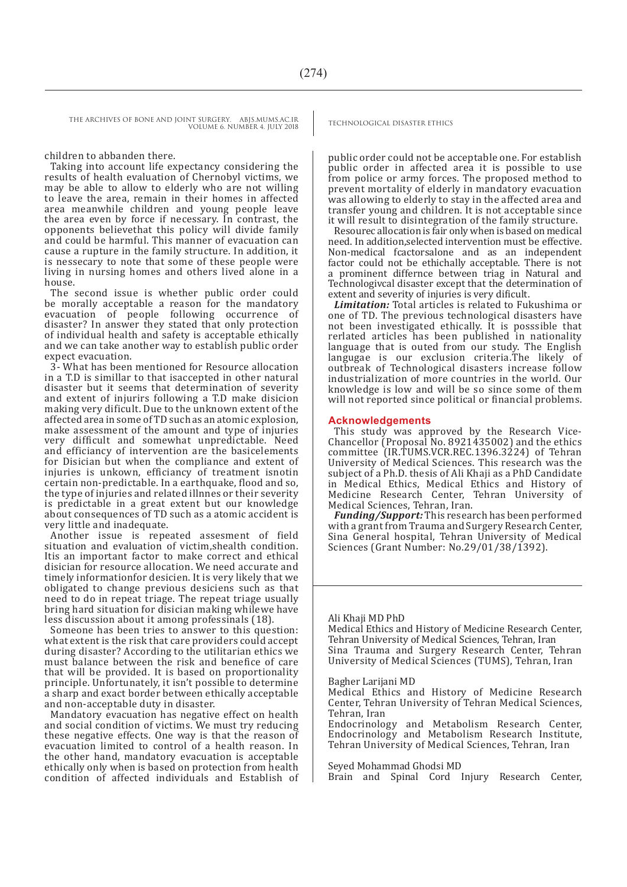THE ARCHIVES OF BONE AND JOINT SURGERY. ABJS.MUMS.AC.IR<br>TECHNOLOGICAL DISASTER ETHICS VOLUME 6. NUMBER 4. JULY 2018

#### children to abbanden there.

Taking into account life expectancy considering the results of health evaluation of Chernobyl victims, we may be able to allow to elderly who are not willing to leave the area, remain in their homes in affected area meanwhile children and young people leave the area even by force if necessary. In contrast, the opponents believethat this policy will divide family and could be harmful. This manner of evacuation can cause a rupture in the family structure. In addition, it is nessecary to note that some of these people were living in nursing homes and others lived alone in a house.

The second issue is whether public order could be morally acceptable a reason for the mandatory evacuation of people following occurrence of disaster? In answer they stated that only protection of individual health and safety is acceptable ethically and we can take another way to establish public order expect evacuation.

3- What has been mentioned for Resource allocation in a T.D is simillar to that isaccepted in other natural disaster but it seems that determination of severity and extent of injurirs following a T.D make disicion making very dificult. Due to the unknown extent of the affected area in some of TD such as an atomic explosion, make assessment of the amount and type of injuries very difficult and somewhat unpredictable. Need and efficiancy of intervention are the basicelements for Disician but when the compliance and extent of injuries is unkown, efficiancy of treatment isnotin certain non-predictable. In a earthquake, flood and so, the type of injuries and related illnnes or their severity is predictable in a great extent but our knowledge about consequences of TD such as a atomic accident is very little and inadequate.

Another issue is repeated assesment of field situation and evaluation of victim,shealth condition. Itis an important factor to make correct and ethical disician for resource allocation. We need accurate and timely informationfor desicien. It is very likely that we obligated to change previous desiciens such as that need to do in repeat triage. The repeat triage usually bring hard situation for disician making whilewe have less discussion about it among professinals (18).

Someone has been tries to answer to this question: what extent is the risk that care providers could accept during disaster? According to the utilitarian ethics we must balance between the risk and benefice of care that will be provided. It is based on proportionality principle. Unfortunately, it isn't possible to determine a sharp and exact border between ethically acceptable and non-acceptable duty in disaster.

Mandatory evacuation has negative effect on health and social condition of victims. We must try reducing these negative effects. One way is that the reason of evacuation limited to control of a health reason. In the other hand, mandatory evacuation is acceptable ethically only when is based on protection from health condition of affected individuals and Establish of

public order could not be acceptable one. For establish public order in affected area it is possible to use from police or army forces. The proposed method to prevent mortality of elderly in mandatory evacuation was allowing to elderly to stay in the affected area and transfer young and children. It is not acceptable since it will result to disintegration of the family structure.

Resourec allocation is fair only when is based on medical need. In addition,selected intervention must be effective. Non-medical fcactorsalone and as an independent factor could not be ethichally acceptable. There is not a prominent differnce between triag in Natural and Technologivcal disaster except that the determination of extent and severity of injuries is very dificult.

*Limitation:* Total articles is related to Fukushima or one of TD. The previous technological disasters have not been investigated ethically. It is posssible that rerlated articles has been published in nationality language that is outed from our study. The English langugae is our exclusion criteria.The likely of outbreak of Technological disasters increase follow industrialization of more countries in the world. Our knowledge is low and will be so since some of them will not reported since political or financial problems.

#### **Acknowledgements**

This study was approved by the Research Vice-Chancellor (Proposal No. 8921435002) and the ethics committee (IR.TUMS.VCR.REC.1396.3224) of Tehran University of Medical Sciences. This research was the subject of a Ph.D. thesis of Ali Khaji as a PhD Candidate in Medical Ethics, Medical Ethics and History of Medicine Research Center, Tehran University of Medical Sciences, Tehran, Iran.

*Funding/Support:* This research has been performed with a grant from Trauma and Surgery Research Center, Sina General hospital, Tehran University of Medical Sciences (Grant Number: No.29/01/38/1392).

#### Ali Khaji MD PhD

Medical Ethics and History of Medicine Research Center, Tehran University of Medical Sciences, Tehran, Iran Sina Trauma and Surgery Research Center, Tehran University of Medical Sciences (TUMS), Tehran, Iran

Bagher Larijani MD

Medical Ethics and History of Medicine Research Center, Tehran University of Tehran Medical Sciences, Tehran, Iran

Endocrinology and Metabolism Research Center, Endocrinology and Metabolism Research Institute, Tehran University of Medical Sciences, Tehran, Iran

Seyed Mohammad Ghodsi MD

Brain and Spinal Cord Injury Research Center,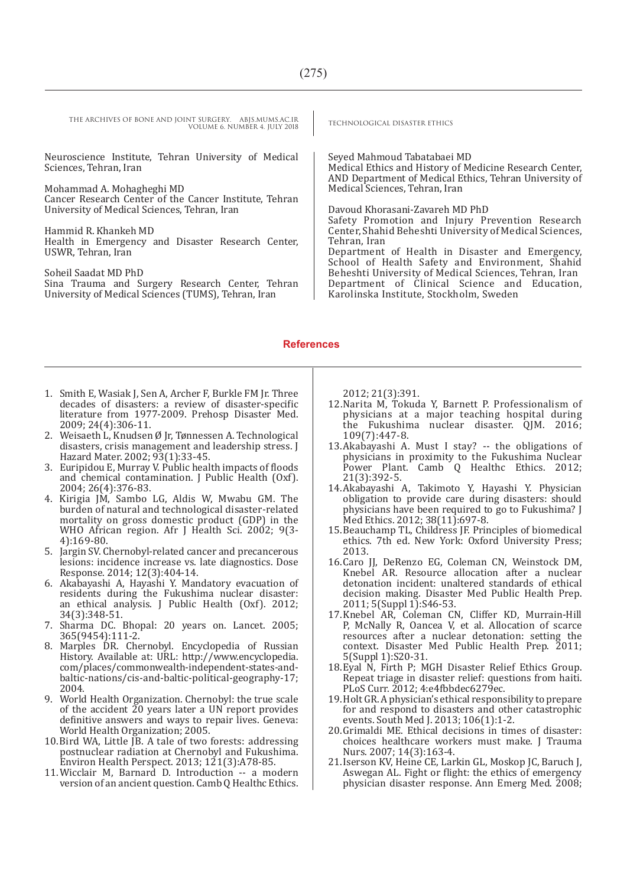THE ARCHIVES OF BONE AND JOINT SURGERY. ABJS.MUMS.AC.IR<br>TECHNOLOGICAL DISASTER ETHICS VOLUME 6. NUMBER 4. JULY 2018

Neuroscience Institute, Tehran University of Medical Sciences, Tehran, Iran

Mohammad A. Mohagheghi MD

Cancer Research Center of the Cancer Institute, Tehran University of Medical Sciences, Tehran, Iran

Hammid R. Khankeh MD Health in Emergency and Disaster Research Center, USWR, Tehran, Iran

Soheil Saadat MD PhD Sina Trauma and Surgery Research Center, Tehran University of Medical Sciences (TUMS), Tehran, Iran

Seyed Mahmoud Tabatabaei MD Medical Ethics and History of Medicine Research Center, AND Department of Medical Ethics, Tehran University of Medical Sciences, Tehran, Iran

Davoud Khorasani-Zavareh MD PhD Safety Promotion and Injury Prevention Research Center, Shahid Beheshti University of Medical Sciences, Tehran, Iran Department of Health in Disaster and Emergency,

School of Health Safety and Environment, Shahid Beheshti University of Medical Sciences, Tehran, Iran Department of Clinical Science and Education, Karolinska Institute, Stockholm, Sweden

#### **References**

- 1. Smith E, Wasiak J, Sen A, Archer F, Burkle FM Jr. Three decades of disasters: a review of disaster-specific literature from 1977-2009. Prehosp Disaster Med. 2009; 24(4):306-11.
- 2. Weisaeth L, Knudsen Ø Jr, Tønnessen A. Technological disasters, crisis management and leadership stress. J Hazard Mater. 2002; 93(1):33-45.
- 3. Euripidou E, Murray V. Public health impacts of floods and chemical contamination. J Public Health (Oxf). 2004; 26(4):376-83.
- 4. Kirigia JM, Sambo LG, Aldis W, Mwabu GM. The burden of natural and technological disaster-related mortality on gross domestic product (GDP) in the WHO African region. Afr J Health Sci. 2002; 9(3-4):169-80.
- 5. Jargin SV. Chernobyl-related cancer and precancerous lesions: incidence increase vs. late diagnostics. Dose Response. 2014; 12(3):404-14.
- 6. Akabayashi A, Hayashi Y. Mandatory evacuation of residents during the Fukushima nuclear disaster: an ethical analysis. J Public Health (Oxf). 2012; 34(3):348-51.
- 7. Sharma DC. Bhopal: 20 years on. Lancet. 2005; 365(9454):111-2.
- 8. Marples DR. Chernobyl. Encyclopedia of Russian History. Available at: URL: http://www.encyclopedia. com/places/commonwealth-independent-states-andbaltic-nations/cis-and-baltic-political-geography-17; 2004.
- 9. World Health Organization. Chernobyl: the true scale of the accident  $\tilde{z}0$  years later a UN report provides definitive answers and ways to repair lives. Geneva: World Health Organization; 2005.
- 10.Bird WA, Little JB. A tale of two forests: addressing postnuclear radiation at Chernobyl and Fukushima. Environ Health Perspect. 2013; 121(3):A78-85.
- 11.Wicclair M, Barnard D. Introduction -- a modern version of an ancient question. Camb Q Healthc Ethics.

2012; 21(3):391.

- 12.Narita M, Tokuda Y, Barnett P. Professionalism of physicians at a major teaching hospital during the Fukushima nuclear disaster. QJM. 2016; 109(7):447-8.
- 13.Akabayashi A. Must I stay? -- the obligations of physicians in proximity to the Fukushima Nuclear Power Plant. Camb Q Healthc Ethics. 2012; 21(3):392-5.
- 14.Akabayashi A, Takimoto Y, Hayashi Y. Physician obligation to provide care during disasters: should physicians have been required to go to Fukushima? J Med Ethics. 2012; 38(11):697-8.
- 15.Beauchamp TL, Childress JF. Principles of biomedical ethics. 7th ed. New York: Oxford University Press; 2013.
- 16.Caro JJ, DeRenzo EG, Coleman CN, Weinstock DM, Knebel AR. Resource allocation after a nuclear detonation incident: unaltered standards of ethical decision making. Disaster Med Public Health Prep. 2011; 5(Suppl 1):S46-53.
- 17.Knebel AR, Coleman CN, Cliffer KD, Murrain-Hill P, McNally R, Oancea V, et al. Allocation of scarce resources after a nuclear detonation: setting the context. Disaster Med Public Health Prep. 2011; 5(Suppl 1):S20-31.
- 18. Eyal N, Firth P; MGH Disaster Relief Ethics Group. Repeat triage in disaster relief: questions from haiti. PLoS Curr. 2012; 4:e4fbbdec6279ec.
- 19.Holt GR. A physician's ethical responsibility to prepare for and respond to disasters and other catastrophic events. South Med J. 2013; 106(1):1-2.
- 20.Grimaldi ME. Ethical decisions in times of disaster: choices healthcare workers must make. J Trauma Nurs. 2007; 14(3):163-4.
- 21.Iserson KV, Heine CE, Larkin GL, Moskop JC, Baruch J, Aswegan AL. Fight or flight: the ethics of emergency physician disaster response. Ann Emerg Med. 2008;